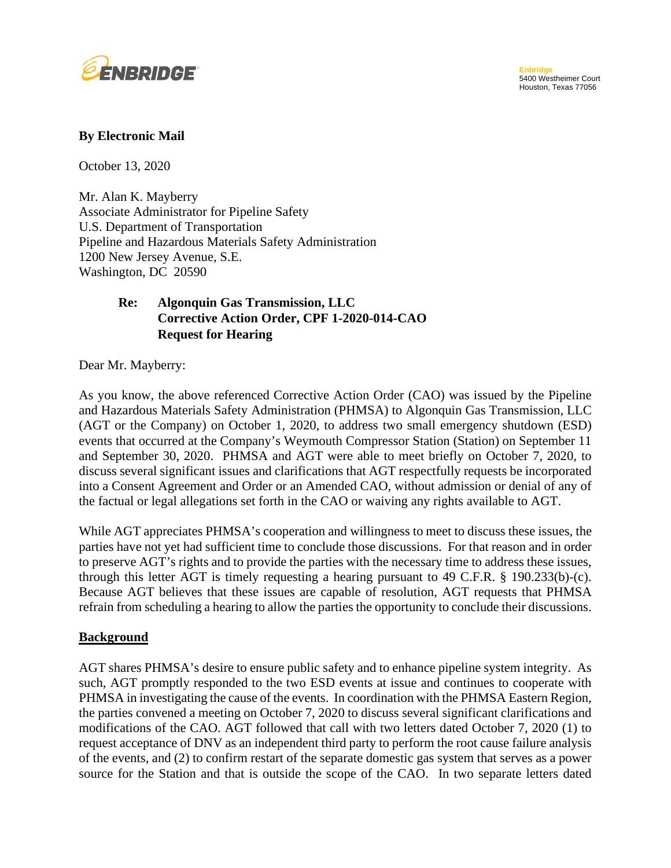

### **By Electronic Mail**

October 13, 2020

Mr. Alan K. Mayberry Associate Administrator for Pipeline Safety U.S. Department of Transportation Pipeline and Hazardous Materials Safety Administration 1200 New Jersey Avenue, S.E. Washington, DC 20590

# **Algonquin Gas Transmission, LLC Re:** Algonquin Gas Transmission, LLC<br>Corrective Action Order, CPF 1-2020-014-CAO **Request for Hearing**

Dear Mr. Mayberry:

 As you know, the above referenced Corrective Action Order (CAO) was issued by the Pipeline and Hazardous Materials Safety Administration (PHMSA) to Algonquin Gas Transmission, LLC (AGT or the Company) on October 1, 2020, to address two small emergency shutdown (ESD) and September 30, 2020. PHMSA and AGT were able to meet briefly on October 7, 2020, to discuss several significant issues and clarifications that AGT respectfully requests be incorporated events that occurred at the Company's Weymouth Compressor Station (Station) on September 11 into a Consent Agreement and Order or an Amended CAO, without admission or denial of any of the factual or legal allegations set forth in the CAO or waiving any rights available to AGT.

 While AGT appreciates PHMSA's cooperation and willingness to meet to discuss these issues, the parties have not yet had sufficient time to conclude those discussions. For that reason and in order to preserve AGT's rights and to provide the parties with the necessary time to address these issues, through this letter AGT is timely requesting a hearing pursuant to 49 C.F.R.  $\S$  190.233(b)-(c). through this letter AGT is timely requesting a hearing pursuant to 49 C.F.R. § 190.233(b)-(c). Because AGT believes that these issues are capable of resolution, AGT requests that PHMSA refrain from scheduling a hearing to allow the parties the opportunity to conclude their discussions.

#### **Background**

 AGT shares PHMSA's desire to ensure public safety and to enhance pipeline system integrity. As such, AGT promptly responded to the two ESD events at issue and continues to cooperate with PHMSA in investigating the cause of the events. In coordination with the PHMSA Eastern Region, the parties convened a meeting on October 7, 2020 to discuss several significant clarifications and modifications of the CAO. AGT followed that call with two letters dated October 7, 2020 (1) to request acceptance of DNV as an independent third party to perform the root cause failure analysis of the events, and (2) to confirm restart of the separate domestic gas system that serves as a power source for the Station and that is outside the scope of the CAO. In two separate letters dated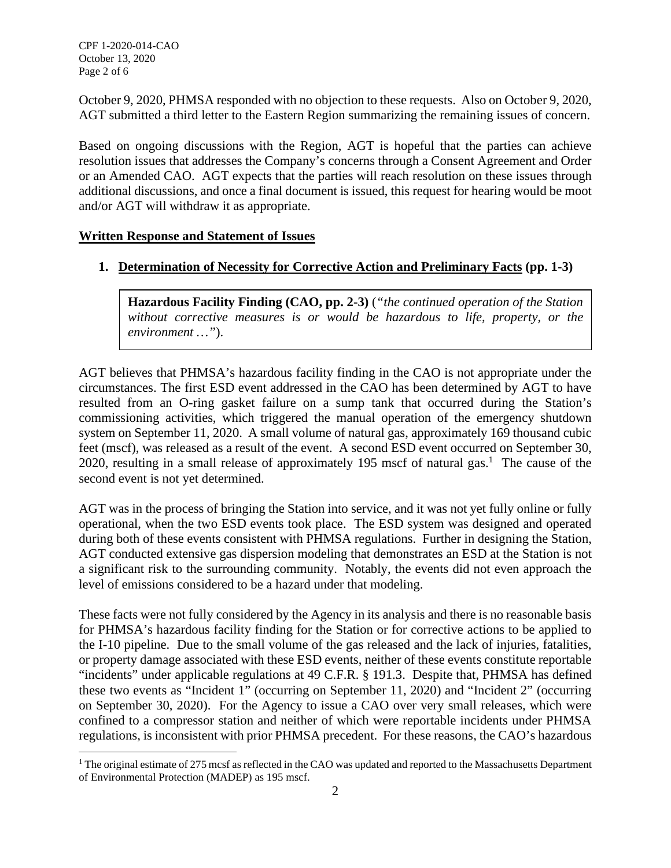CPF 1-2020-014-CAO October 13, 2020 October 13, 2020 Page 2 of 6

 October 9, 2020, PHMSA responded with no objection to these requests. Also on October 9, 2020, AGT submitted a third letter to the Eastern Region summarizing the remaining issues of concern.

 Based on ongoing discussions with the Region, AGT is hopeful that the parties can achieve resolution issues that addresses the Company's concerns through a Consent Agreement and Order or an Amended CAO. AGT expects that the parties will reach resolution on these issues through additional discussions, and once a final document is issued, this request for hearing would be moot and/or AGT will withdraw it as appropriate.

### **Written Response and Statement of Issues**

### **1. Determination of Necessity for Corrective Action and Preliminary Facts (pp. 1-3)**

 *without corrective measures is or would be hazardous to life, property, or the*  **Hazardous Facility Finding (CAO, pp. 2-3)** (*"the continued operation of the Station environment …"*).

 AGT believes that PHMSA's hazardous facility finding in the CAO is not appropriate under the circumstances. The first ESD event addressed in the CAO has been determined by AGT to have resulted from an O-ring gasket failure on a sump tank that occurred during the Station's commissioning activities, which triggered the manual operation of the emergency shutdown system on September 11, 2020. A small volume of natural gas, approximately 169 thousand cubic feet (mscf), was released as a result of the event. A second ESD event occurred on September 30, 2020, resulting in a small release of approximately 195 mscf of natural gas.<sup>1</sup> The cause of the second event is not yet determined.

 AGT was in the process of bringing the Station into service, and it was not yet fully online or fully operational, when the two ESD events took place. The ESD system was designed and operated during both of these events consistent with PHMSA regulations. Further in designing the Station, a significant risk to the surrounding community. Notably, the events did not even approach the AGT conducted extensive gas dispersion modeling that demonstrates an ESD at the Station is not level of emissions considered to be a hazard under that modeling.

 These facts were not fully considered by the Agency in its analysis and there is no reasonable basis for PHMSA's hazardous facility finding for the Station or for corrective actions to be applied to the I-10 pipeline. Due to the small volume of the gas released and the lack of injuries, fatalities, or property damage associated with these ESD events, neither of these events constitute reportable "incidents" under applicable regulations at 49 C.F.R. § 191.3. Despite that, PHMSA has defined these two events as "Incident 1" (occurring on September 11, 2020) and "Incident 2" (occurring on September 30, 2020). For the Agency to issue a CAO over very small releases, which were confined to a compressor station and neither of which were reportable incidents under PHMSA regulations, is inconsistent with prior PHMSA precedent. For these reasons, the CAO's hazardous

<sup>&</sup>lt;sup>1</sup> The original estimate of 275 mcsf as reflected in the CAO was updated and reported to the Massachusetts Department of Environmental Protection (MADEP) as 195 mscf.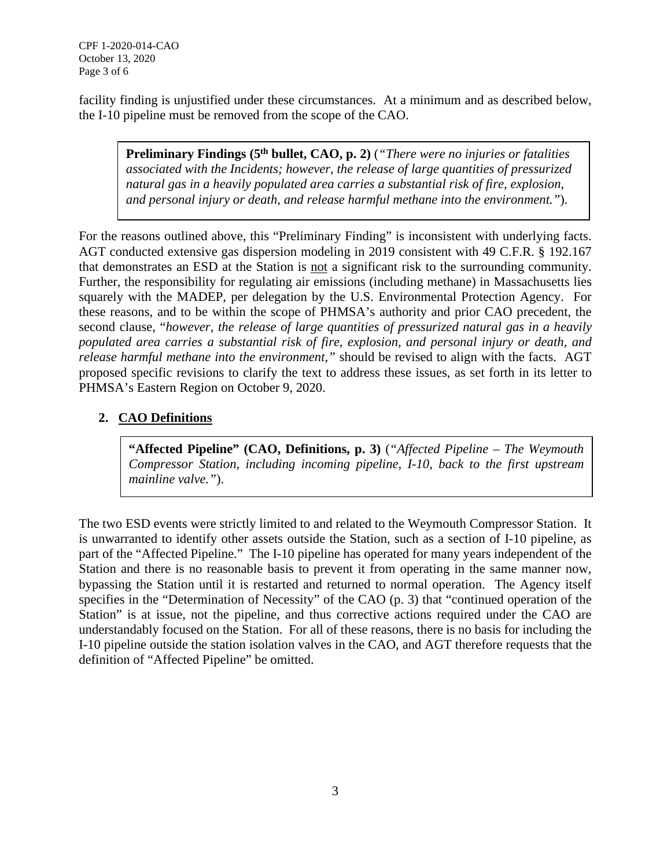CPF 1-2020-014-CAO October 13, 2020 October 13, 2020 Page 3 of 6

 facility finding is unjustified under these circumstances. At a minimum and as described below, the I-10 pipeline must be removed from the scope of the CAO.

**Preliminary Findings (5<sup>th</sup> bullet, CAO, p. 2)** (*"There were no injuries or fatalities associated with the Incidents; however, the release of large quantities of pressurized natural gas in a heavily populated area carries a substantial risk of fire, explosion, and personal injury or death, and release harmful methane into the environment."*).

 For the reasons outlined above, this "Preliminary Finding" is inconsistent with underlying facts. that demonstrates an ESD at the Station is not a significant risk to the surrounding community. squarely with the MADEP, per delegation by the U.S. Environmental Protection Agency. For these reasons, and to be within the scope of PHMSA's authority and prior CAO precedent, the  second clause, "*however, the release of large quantities of pressurized natural gas in a heavily populated area carries a substantial risk of fire, explosion, and personal injury or death, and release harmful methane into the environment,"* should be revised to align with the facts. AGT proposed specific revisions to clarify the text to address these issues, as set forth in its letter to AGT conducted extensive gas dispersion modeling in 2019 consistent with 49 C.F.R. § 192.167 Further, the responsibility for regulating air emissions (including methane) in Massachusetts lies PHMSA's Eastern Region on October 9, 2020.

## **2. CAO Definitions**

 **"Affected Pipeline" (CAO, Definitions, p. 3)** (*"Affected Pipeline – The Weymouth Compressor Station, including incoming pipeline, I-10, back to the first upstream mainline valve."*).

 is unwarranted to identify other assets outside the Station, such as a section of I-10 pipeline, as part of the "Affected Pipeline." The I-10 pipeline has operated for many years independent of the Station and there is no reasonable basis to prevent it from operating in the same manner now, bypassing the Station until it is restarted and returned to normal operation. The Agency itself specifies in the "Determination of Necessity" of the CAO (p. 3) that "continued operation of the Station" is at issue, not the pipeline, and thus corrective actions required under the CAO are understandably focused on the Station. For all of these reasons, there is no basis for including the I-10 pipeline outside the station isolation valves in the CAO, and AGT therefore requests that the The two ESD events were strictly limited to and related to the Weymouth Compressor Station. It definition of "Affected Pipeline" be omitted.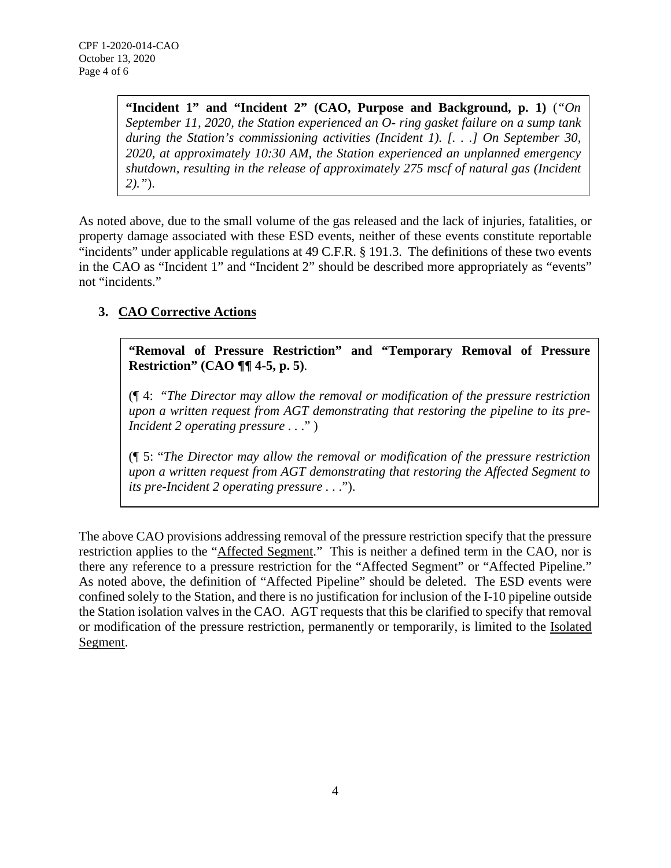**"Incident 1" and "Incident 2" (CAO, Purpose and Background, p. 1)** (*"On September 11, 2020, the Station experienced an O- ring gasket failure on a sump tank 2020, at approximately 10:30 AM, the Station experienced an unplanned emergency shutdown, resulting in the release of approximately 275 mscf of natural gas (Incident during the Station's commissioning activities (Incident 1). [. . .] On September 30, 2)."*).

 As noted above, due to the small volume of the gas released and the lack of injuries, fatalities, or property damage associated with these ESD events, neither of these events constitute reportable "incidents" under applicable regulations at 49 C.F.R. § 191.3. The definitions of these two events in the CAO as "Incident 1" and "Incident 2" should be described more appropriately as "events" not "incidents."

# **3. CAO Corrective Actions**

 **"Removal of Pressure Restriction" and "Temporary Removal of Pressure Restriction" (CAO ¶¶ 4-5, p. 5)**.

 (¶ 4: "*The Director may allow the removal or modification of the pressure restriction upon a written request from AGT demonstrating that restoring the pipeline to its pre-Incident 2 operating pressure ...*"

 (¶ 5: "*The Director may allow the removal or modification of the pressure restriction upon a written request from AGT demonstrating that restoring the Affected Segment to its pre-Incident 2 operating pressure . .* .").

 The above CAO provisions addressing removal of the pressure restriction specify that the pressure restriction applies to the "Affected Segment." This is neither a defined term in the CAO, nor is there any reference to a pressure restriction for the "Affected Segment" or "Affected Pipeline." As noted above, the definition of "Affected Pipeline" should be deleted. The ESD events were confined solely to the Station, and there is no justification for inclusion of the I-10 pipeline outside the Station isolation valves in the CAO. AGT requests that this be clarified to specify that removal or modification of the pressure restriction, permanently or temporarily, is limited to the Isolated Segment.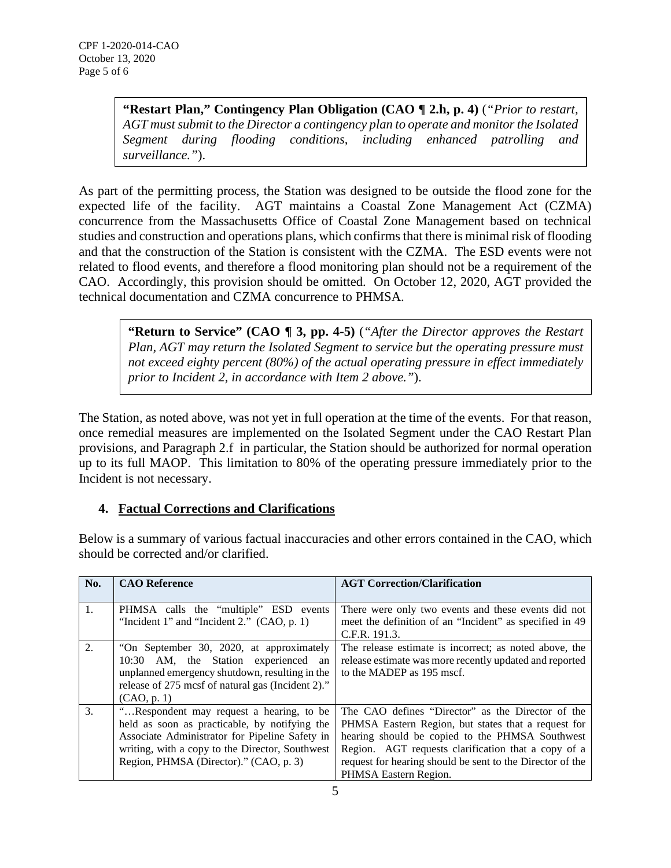**"Restart Plan," Contingency Plan Obligation (CAO ¶ 2.h, p. 4)** (*"Prior to restart, AGT must submit to the Director a contingency plan to operate and monitor the Isolated Segment during flooding conditions, including enhanced patrolling and surveillance."*).

 As part of the permitting process, the Station was designed to be outside the flood zone for the expected life of the facility. AGT maintains a Coastal Zone Management Act (CZMA) concurrence from the Massachusetts Office of Coastal Zone Management based on technical studies and construction and operations plans, which confirms that there is minimal risk of flooding and that the construction of the Station is consistent with the CZMA. The ESD events were not related to flood events, and therefore a flood monitoring plan should not be a requirement of the CAO. Accordingly, this provision should be omitted. On October 12, 2020, AGT provided the technical documentation and CZMA concurrence to PHMSA.

 **"Return to Service" (CAO ¶ 3, pp. 4-5)** (*"After the Director approves the Restart Plan, AGT may return the Isolated Segment to service but the operating pressure must not exceed eighty percent (80%) of the actual operating pressure in effect immediately prior to Incident 2, in accordance with Item 2 above."*).

 The Station, as noted above, was not yet in full operation at the time of the events. For that reason, once remedial measures are implemented on the Isolated Segment under the CAO Restart Plan up to its full MAOP. This limitation to 80% of the operating pressure immediately prior to the Incident is not necessary. provisions, and Paragraph 2.f in particular, the Station should be authorized for normal operation

## **4. Factual Corrections and Clarifications**

 Below is a summary of various factual inaccuracies and other errors contained in the CAO, which should be corrected and/or clarified.

| No. | <b>CAO Reference</b>                                                                                                                                                                                                                     | <b>AGT Correction/Clarification</b>                                                                                                                                                                                                                                                                      |
|-----|------------------------------------------------------------------------------------------------------------------------------------------------------------------------------------------------------------------------------------------|----------------------------------------------------------------------------------------------------------------------------------------------------------------------------------------------------------------------------------------------------------------------------------------------------------|
| 1.  | PHMSA calls the "multiple" ESD events<br>"Incident 1" and "Incident 2." $(CAO, p. 1)$                                                                                                                                                    | There were only two events and these events did not<br>meet the definition of an "Incident" as specified in 49<br>C.F.R. 191.3.                                                                                                                                                                          |
| 2.  | "On September 30, 2020, at approximately<br>10:30 AM, the Station experienced an<br>unplanned emergency shutdown, resulting in the<br>release of 275 mcsf of natural gas (Incident 2)."<br>(CAO, p. 1)                                   | The release estimate is incorrect; as noted above, the<br>release estimate was more recently updated and reported<br>to the MADEP as 195 mscf.                                                                                                                                                           |
| 3.  | "Respondent may request a hearing, to be<br>held as soon as practicable, by notifying the<br>Associate Administrator for Pipeline Safety in<br>writing, with a copy to the Director, Southwest<br>Region, PHMSA (Director)." (CAO, p. 3) | The CAO defines "Director" as the Director of the<br>PHMSA Eastern Region, but states that a request for<br>hearing should be copied to the PHMSA Southwest<br>Region. AGT requests clarification that a copy of a<br>request for hearing should be sent to the Director of the<br>PHMSA Eastern Region. |